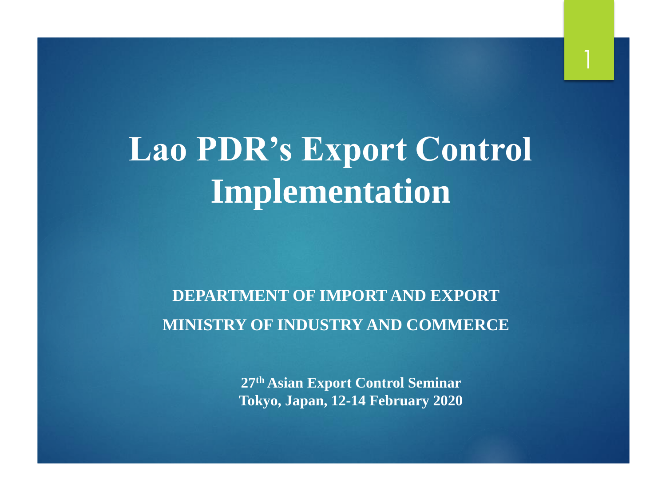# **Lao PDR's Export Control Implementation**

#### **DEPARTMENT OF IMPORT AND EXPORT MINISTRY OF INDUSTRY AND COMMERCE**

**27th Asian Export Control Seminar Tokyo, Japan, 12-14 February 2020**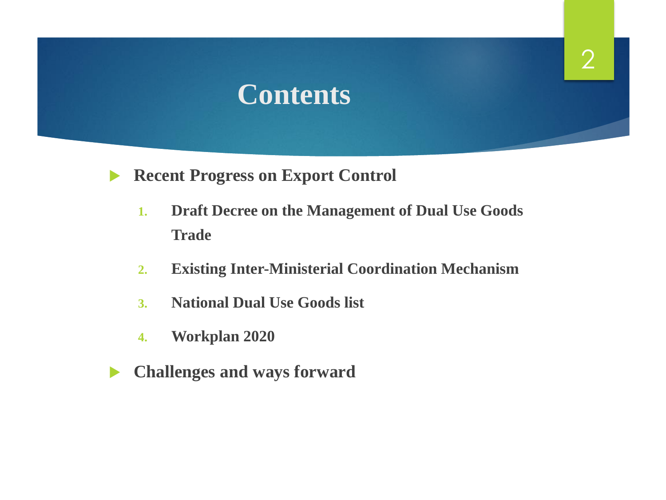### **Contents**

- **Recent Progress on Export Control** 
	- **1. Draft Decree on the Management of Dual Use Goods Trade**
	- **2. Existing Inter-Ministerial Coordination Mechanism**
	- **3. National Dual Use Goods list**
	- **4. Workplan 2020**
- **Challenges and ways forward**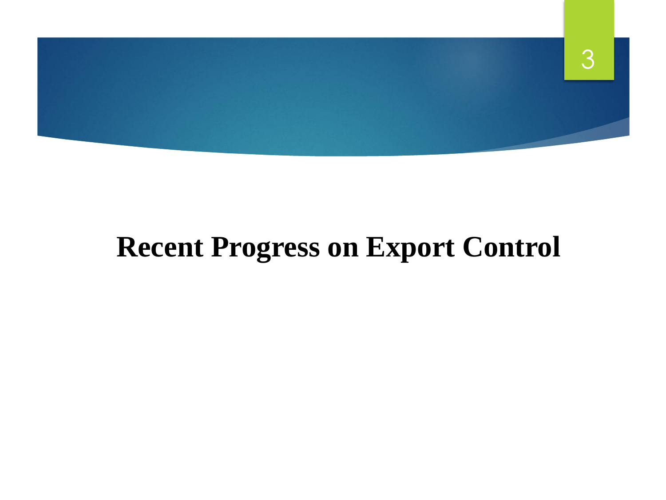

## **Recent Progress on Export Control**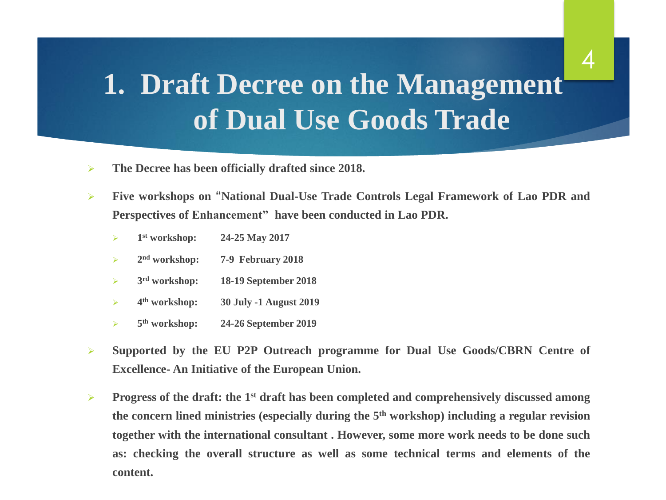## **1. Draft Decree on the Management of Dual Use Goods Trade**

4

- ➢ **The Decree has been officially drafted since 2018.**
- ➢ **Five workshops on "National Dual-Use Trade Controls Legal Framework of Lao PDR and Perspectives of Enhancement" have been conducted in Lao PDR.**
	- $\triangleright$  1<sup>st</sup> workshop: **st workshop: 24-25 May 2017**
	- $\geq$  2<sup>nd</sup> workshop: **nd workshop: 7-9 February 2018**
	- $\geq$  3<sup>rd</sup> workshop: **rd workshop: 18-19 September 2018**
	- $\triangleright$  4<sup>th</sup> workshop: **th workshop: 30 July -1 August 2019**
	- 5<sup>th</sup> workshop: **th workshop: 24-26 September 2019**
- ➢ **Supported by the EU P2P Outreach programme for Dual Use Goods/CBRN Centre of Excellence- An Initiative of the European Union.**
- ➢ **Progress of the draft: the 1 st draft has been completed and comprehensively discussed among the concern lined ministries (especially during the 5 th workshop) including a regular revision together with the international consultant . However, some more work needs to be done such as: checking the overall structure as well as some technical terms and elements of the content.**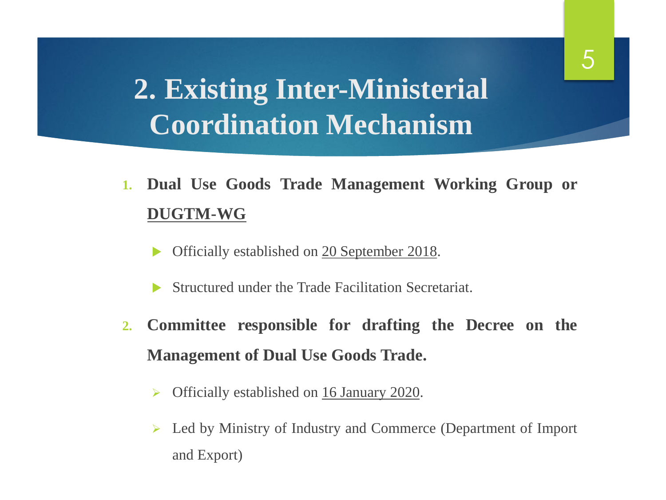## **2. Existing Inter-Ministerial Coordination Mechanism**

- **1. Dual Use Goods Trade Management Working Group or DUGTM-WG**
	- Officially established on 20 September 2018.
	- Structured under the Trade Facilitation Secretariat.
- **2. Committee responsible for drafting the Decree on the Management of Dual Use Goods Trade.**
	- ➢ Officially established on 16 January 2020.
	- ➢ Led by Ministry of Industry and Commerce (Department of Import and Export)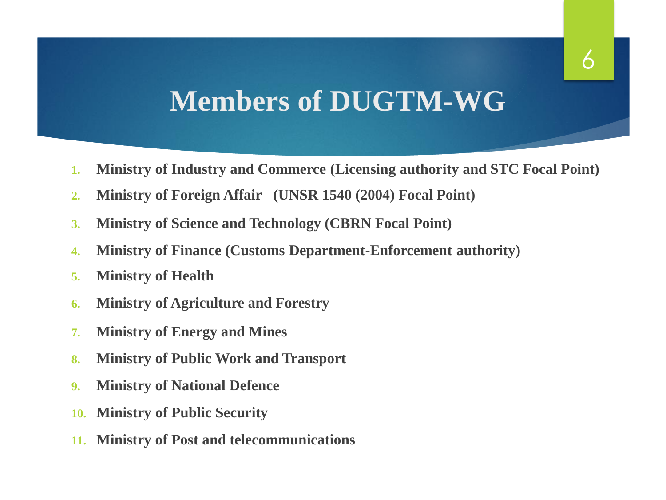### **Members of DUGTM-WG**

- **1. Ministry of Industry and Commerce (Licensing authority and STC Focal Point)**
- **2. Ministry of Foreign Affair (UNSR 1540 (2004) Focal Point)**
- **3. Ministry of Science and Technology (CBRN Focal Point)**
- **4. Ministry of Finance (Customs Department-Enforcement authority)**
- **5. Ministry of Health**
- **6. Ministry of Agriculture and Forestry**
- **7. Ministry of Energy and Mines**
- **8. Ministry of Public Work and Transport**
- **9. Ministry of National Defence**
- **10. Ministry of Public Security**
- **11. Ministry of Post and telecommunications**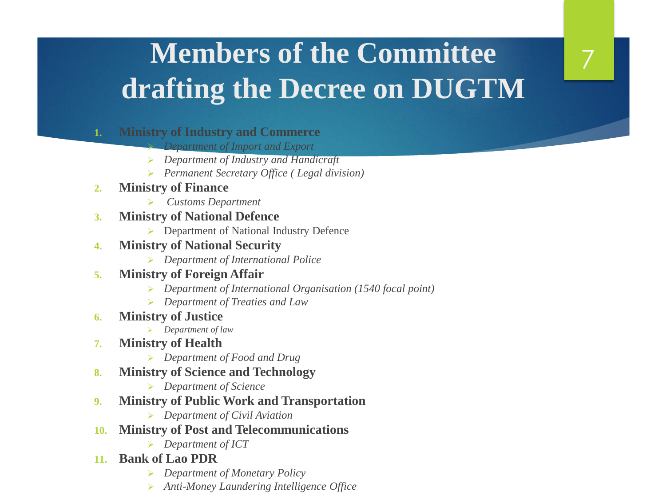# **Members of the Committee drafting the Decree on DUGTM**

7

- **1. Ministry of Industry and Commerce**
	- ➢ *Department of Import and Export*
	- ➢ *Department of Industry and Handicraft*
	- ➢ *Permanent Secretary Office ( Legal division)*
- **2. Ministry of Finance**
	- ➢ *Customs Department*
- **3. Ministry of National Defence**
	- ➢ Department of National Industry Defence
- **4. Ministry of National Security** 
	- ➢ *Department of International Police*

#### **5. Ministry of Foreign Affair**

- ➢ *Department of International Organisation (1540 focal point)*
- ➢ *Department of Treaties and Law*
- **6. Ministry of Justice**
	- ➢ *Department of law*
- **7. Ministry of Health**
	- ➢ *Department of Food and Drug*
- **8. Ministry of Science and Technology**
	- ➢ *Department of Science*
- **9. Ministry of Public Work and Transportation**
	- ➢ *Department of Civil Aviation*
- **10. Ministry of Post and Telecommunications**
	- ➢ *Department of ICT*
- **11. Bank of Lao PDR** 
	- ➢ *Department of Monetary Policy*
	- ➢ *Anti-Money Laundering Intelligence Office*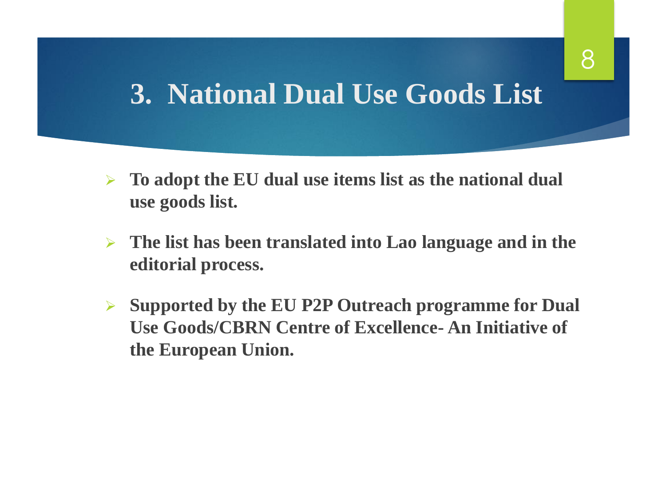### **3. National Dual Use Goods List**

- ➢ **To adopt the EU dual use items list as the national dual use goods list.**
- ➢ **The list has been translated into Lao language and in the editorial process.**
- ➢ **Supported by the EU P2P Outreach programme for Dual Use Goods/CBRN Centre of Excellence- An Initiative of the European Union.**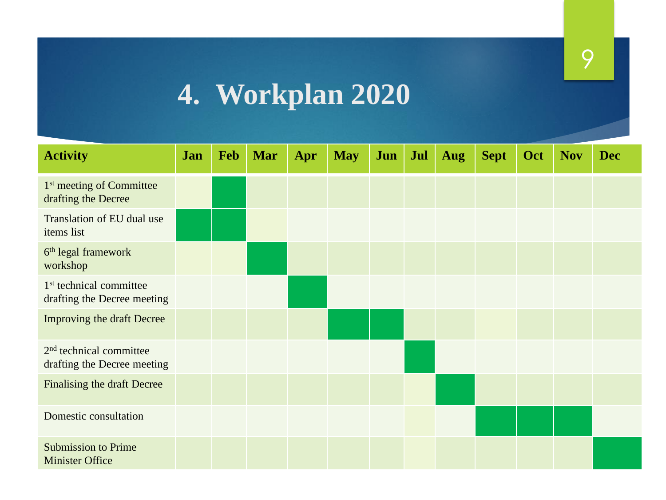# **4. Workplan 2020**

| <b>Activity</b>                                                    | Jan | Feb | <b>Mar</b> | Apr | <b>May</b> | Jun | Jul | <b>Aug</b> | <b>Sept</b> | Oct | <b>Nov</b> | <b>Dec</b> |
|--------------------------------------------------------------------|-----|-----|------------|-----|------------|-----|-----|------------|-------------|-----|------------|------------|
| 1 <sup>st</sup> meeting of Committee<br>drafting the Decree        |     |     |            |     |            |     |     |            |             |     |            |            |
| Translation of EU dual use<br>items list                           |     |     |            |     |            |     |     |            |             |     |            |            |
| 6 <sup>th</sup> legal framework<br>workshop                        |     |     |            |     |            |     |     |            |             |     |            |            |
| 1 <sup>st</sup> technical committee<br>drafting the Decree meeting |     |     |            |     |            |     |     |            |             |     |            |            |
| Improving the draft Decree                                         |     |     |            |     |            |     |     |            |             |     |            |            |
| 2 <sup>nd</sup> technical committee<br>drafting the Decree meeting |     |     |            |     |            |     |     |            |             |     |            |            |
| Finalising the draft Decree                                        |     |     |            |     |            |     |     |            |             |     |            |            |
| Domestic consultation                                              |     |     |            |     |            |     |     |            |             |     |            |            |
| <b>Submission to Prime</b><br><b>Minister Office</b>               |     |     |            |     |            |     |     |            |             |     |            |            |

9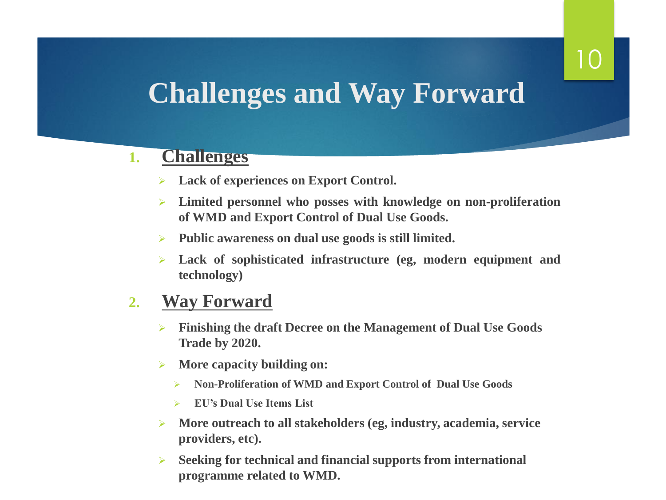# 10

### **Challenges and Way Forward**

#### **1. Challenges**

- ➢ **Lack of experiences on Export Control.**
- ➢ **Limited personnel who posses with knowledge on non-proliferation of WMD and Export Control of Dual Use Goods.**
- ➢ **Public awareness on dual use goods is still limited.**
- ➢ **Lack of sophisticated infrastructure (eg, modern equipment and technology)**

#### **2. Way Forward**

- ➢ **Finishing the draft Decree on the Management of Dual Use Goods Trade by 2020.**
- ➢ **More capacity building on:** 
	- ➢ **Non-Proliferation of WMD and Export Control of Dual Use Goods**
	- ➢ **EU's Dual Use Items List**
- ➢ **More outreach to all stakeholders (eg, industry, academia, service providers, etc).**
- ➢ **Seeking for technical and financial supports from international programme related to WMD.**